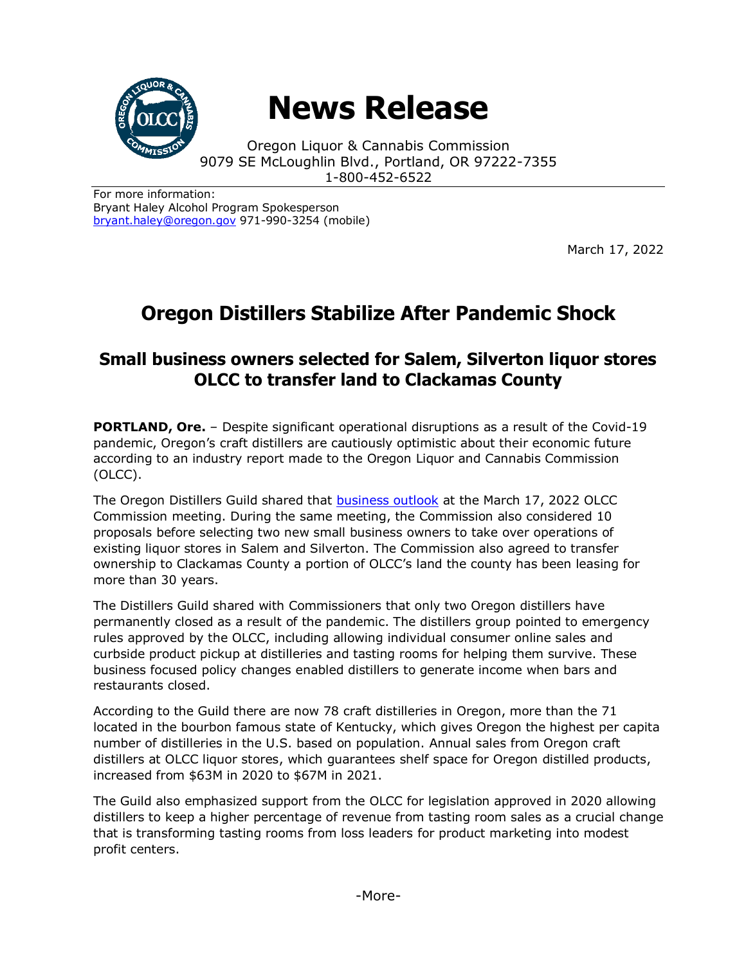

## **News Release**

Oregon Liquor & Cannabis Commission 9079 SE McLoughlin Blvd., Portland, OR 97222-7355 1-800-452-6522

For more information: Bryant Haley Alcohol Program Spokesperson [bryant.haley@oregon.gov](file:///C:/Users/mark.pettinger/AppData/Local/Microsoft/Windows/INetCache/Content.Outlook/ZTRJ5L75/bryant.haley@oregon.gov) 971-990-3254 (mobile)

March 17, 2022

## **Oregon Distillers Stabilize After Pandemic Shock**

## **Small business owners selected for Salem, Silverton liquor stores OLCC to transfer land to Clackamas County**

**PORTLAND, Ore.** – Despite significant operational disruptions as a result of the Covid-19 pandemic, Oregon's craft distillers are cautiously optimistic about their economic future according to an industry report made to the Oregon Liquor and Cannabis Commission (OLCC).

The Oregon Distillers Guild shared that [business outlook](https://www.oregon.gov/olcc/Docs/commission_agendas/2022/Oregon-Distillers-Guild-Presentation.pdf) at the March 17, 2022 OLCC Commission meeting. During the same meeting, the Commission also considered 10 proposals before selecting two new small business owners to take over operations of existing liquor stores in Salem and Silverton. The Commission also agreed to transfer ownership to Clackamas County a portion of OLCC's land the county has been leasing for more than 30 years.

The Distillers Guild shared with Commissioners that only two Oregon distillers have permanently closed as a result of the pandemic. The distillers group pointed to emergency rules approved by the OLCC, including allowing individual consumer online sales and curbside product pickup at distilleries and tasting rooms for helping them survive. These business focused policy changes enabled distillers to generate income when bars and restaurants closed.

According to the Guild there are now 78 craft distilleries in Oregon, more than the 71 located in the bourbon famous state of Kentucky, which gives Oregon the highest per capita number of distilleries in the U.S. based on population. Annual sales from Oregon craft distillers at OLCC liquor stores, which guarantees shelf space for Oregon distilled products, increased from \$63M in 2020 to \$67M in 2021.

The Guild also emphasized support from the OLCC for legislation approved in 2020 allowing distillers to keep a higher percentage of revenue from tasting room sales as a crucial change that is transforming tasting rooms from loss leaders for product marketing into modest profit centers.